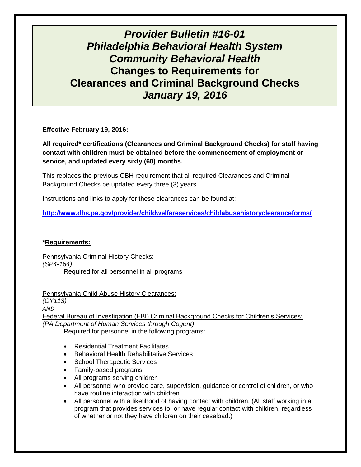# *Provider Bulletin #16-01 Philadelphia Behavioral Health System Community Behavioral Health* **Changes to Requirements for Clearances and Criminal Background Checks** *January 19, 2016*

## **Effective February 19, 2016:**

**All required\* certifications (Clearances and Criminal Background Checks) for staff having contact with children must be obtained before the commencement of employment or service, and updated every sixty (60) months.**

This replaces the previous CBH requirement that all required Clearances and Criminal Background Checks be updated every three (3) years.

Instructions and links to apply for these clearances can be found at:

**<http://www.dhs.pa.gov/provider/childwelfareservices/childabusehistoryclearanceforms/>**

### **\*Requirements:**

Pennsylvania Criminal History Checks: *(SP4-164)* Required for all personnel in all programs

Pennsylvania Child Abuse History Clearances: *(CY113) AND* Federal Bureau of Investigation (FBI) Criminal Background Checks for Children's Services: *(PA Department of Human Services through Cogent)* Required for personnel in the following programs:

- Residential Treatment Facilitates
- Behavioral Health Rehabilitative Services
- School Therapeutic Services
- Family-based programs
- All programs serving children
- All personnel who provide care, supervision, guidance or control of children, or who have routine interaction with children
- All personnel with a likelihood of having contact with children. (All staff working in a program that provides services to, or have regular contact with children, regardless of whether or not they have children on their caseload.)